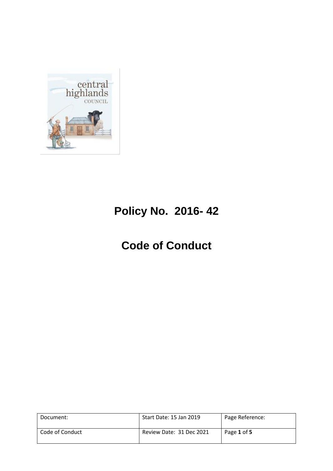

# **Policy No. 2016- 42**

# **Code of Conduct**

| Document:       | Start Date: 15 Jan 2019  | Page Reference: |
|-----------------|--------------------------|-----------------|
| Code of Conduct | Review Date: 31 Dec 2021 | Page 1 of 5     |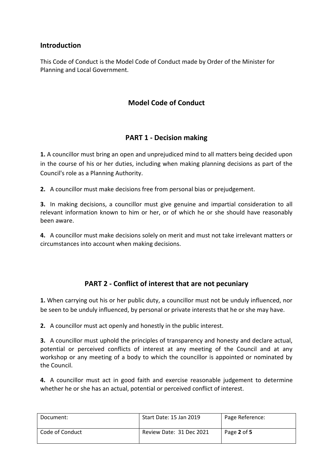#### **Introduction**

This Code of Conduct is the Model Code of Conduct made by Order of the Minister for Planning and Local Government.

# **Model Code of Conduct**

# **PART 1 - Decision making**

**1.** A councillor must bring an open and unprejudiced mind to all matters being decided upon in the course of his or her duties, including when making planning decisions as part of the Council's role as a Planning Authority.

**2.** A councillor must make decisions free from personal bias or prejudgement.

**3.** In making decisions, a councillor must give genuine and impartial consideration to all relevant information known to him or her, or of which he or she should have reasonably been aware.

**4.** A councillor must make decisions solely on merit and must not take irrelevant matters or circumstances into account when making decisions.

# **PART 2 - Conflict of interest that are not pecuniary**

**1.** When carrying out his or her public duty, a councillor must not be unduly influenced, nor be seen to be unduly influenced, by personal or private interests that he or she may have.

**2.** A councillor must act openly and honestly in the public interest.

**3.** A councillor must uphold the principles of transparency and honesty and declare actual, potential or perceived conflicts of interest at any meeting of the Council and at any workshop or any meeting of a body to which the councillor is appointed or nominated by the Council.

**4.** A councillor must act in good faith and exercise reasonable judgement to determine whether he or she has an actual, potential or perceived conflict of interest.

| Document:       | Start Date: 15 Jan 2019  | Page Reference: |
|-----------------|--------------------------|-----------------|
| Code of Conduct | Review Date: 31 Dec 2021 | Page 2 of 5     |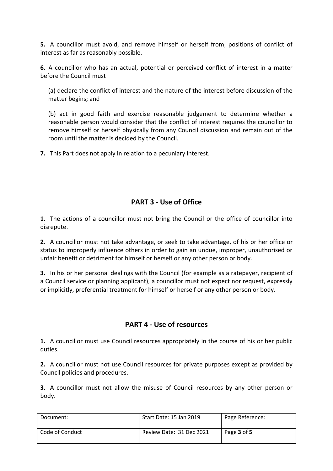**5.** A councillor must avoid, and remove himself or herself from, positions of conflict of interest as far as reasonably possible.

**6.** A councillor who has an actual, potential or perceived conflict of interest in a matter before the Council must –

(a) declare the conflict of interest and the nature of the interest before discussion of the matter begins; and

(b) act in good faith and exercise reasonable judgement to determine whether a reasonable person would consider that the conflict of interest requires the councillor to remove himself or herself physically from any Council discussion and remain out of the room until the matter is decided by the Council.

**7.** This Part does not apply in relation to a pecuniary interest.

# **PART 3 - Use of Office**

**1.** The actions of a councillor must not bring the Council or the office of councillor into disrepute.

**2.** A councillor must not take advantage, or seek to take advantage, of his or her office or status to improperly influence others in order to gain an undue, improper, unauthorised or unfair benefit or detriment for himself or herself or any other person or body.

**3.** In his or her personal dealings with the Council (for example as a ratepayer, recipient of a Council service or planning applicant), a councillor must not expect nor request, expressly or implicitly, preferential treatment for himself or herself or any other person or body.

# **PART 4 - Use of resources**

**1.** A councillor must use Council resources appropriately in the course of his or her public duties.

**2.** A councillor must not use Council resources for private purposes except as provided by Council policies and procedures.

**3.** A councillor must not allow the misuse of Council resources by any other person or body.

| Document:       | Start Date: 15 Jan 2019  | Page Reference: |
|-----------------|--------------------------|-----------------|
| Code of Conduct | Review Date: 31 Dec 2021 | Page 3 of 5     |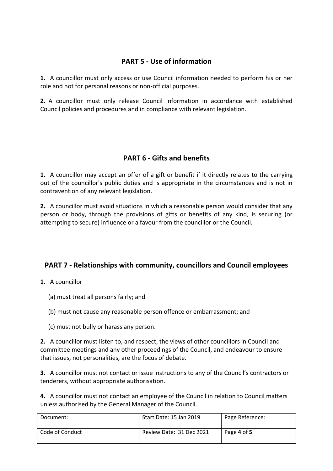# **PART 5 - Use of information**

**1.** A councillor must only access or use Council information needed to perform his or her role and not for personal reasons or non-official purposes.

**2.** A councillor must only release Council information in accordance with established Council policies and procedures and in compliance with relevant legislation.

#### **PART 6 - Gifts and benefits**

**1.** A councillor may accept an offer of a gift or benefit if it directly relates to the carrying out of the councillor's public duties and is appropriate in the circumstances and is not in contravention of any relevant legislation.

**2.** A councillor must avoid situations in which a reasonable person would consider that any person or body, through the provisions of gifts or benefits of any kind, is securing (or attempting to secure) influence or a favour from the councillor or the Council.

#### **PART 7 - Relationships with community, councillors and Council employees**

- **1.** A councillor
	- (a) must treat all persons fairly; and
	- (b) must not cause any reasonable person offence or embarrassment; and
	- (c) must not bully or harass any person.

**2.** A councillor must listen to, and respect, the views of other councillors in Council and committee meetings and any other proceedings of the Council, and endeavour to ensure that issues, not personalities, are the focus of debate.

**3.** A councillor must not contact or issue instructions to any of the Council's contractors or tenderers, without appropriate authorisation.

**4.** A councillor must not contact an employee of the Council in relation to Council matters unless authorised by the General Manager of the Council.

| Document:       | Start Date: 15 Jan 2019  | Page Reference: |
|-----------------|--------------------------|-----------------|
| Code of Conduct | Review Date: 31 Dec 2021 | Page 4 of 5     |